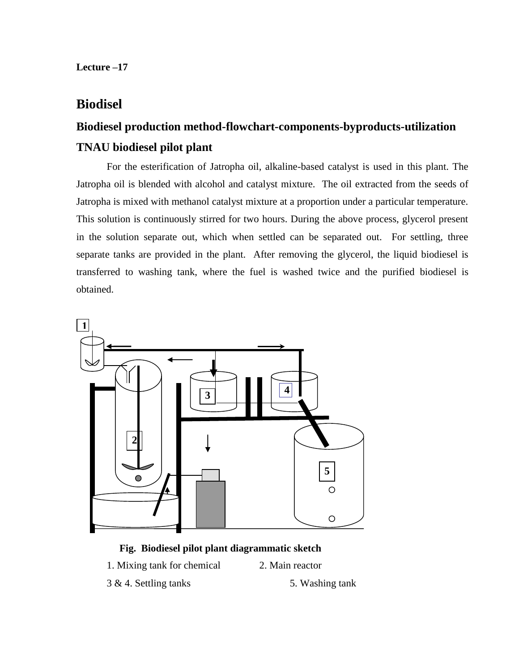**Lecture –17**

## **Biodisel**

# **Biodiesel production method-flowchart-components-byproducts-utilization TNAU biodiesel pilot plant**

For the esterification of Jatropha oil, alkaline-based catalyst is used in this plant. The Jatropha oil is blended with alcohol and catalyst mixture. The oil extracted from the seeds of Jatropha is mixed with methanol catalyst mixture at a proportion under a particular temperature. This solution is continuously stirred for two hours. During the above process, glycerol present in the solution separate out, which when settled can be separated out. For settling, three separate tanks are provided in the plant. After removing the glycerol, the liquid biodiesel is transferred to washing tank, where the fuel is washed twice and the purified biodiesel is obtained.



### **Fig. Biodiesel pilot plant diagrammatic sketch**

- 1. Mixing tank for chemical 2. Main reactor
	-
- 3 & 4. Settling tanks 5. Washing tank
-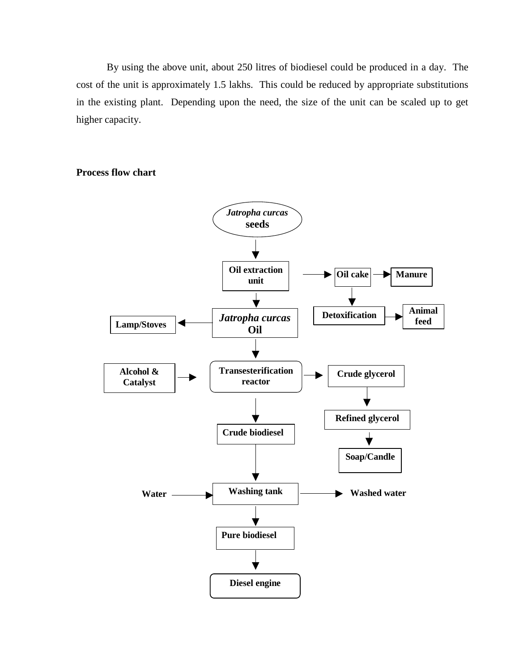By using the above unit, about 250 litres of biodiesel could be produced in a day. The cost of the unit is approximately 1.5 lakhs. This could be reduced by appropriate substitutions in the existing plant. Depending upon the need, the size of the unit can be scaled up to get higher capacity.

**Process flow chart**

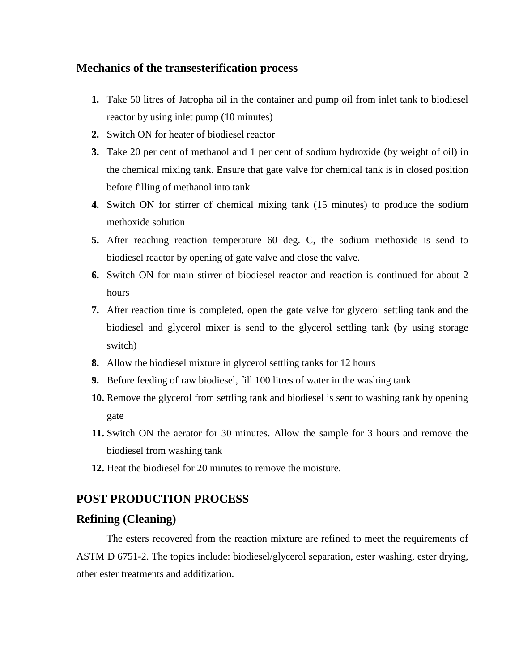#### **Mechanics of the transesterification process**

- **1.** Take 50 litres of Jatropha oil in the container and pump oil from inlet tank to biodiesel reactor by using inlet pump (10 minutes)
- **2.** Switch ON for heater of biodiesel reactor
- **3.** Take 20 per cent of methanol and 1 per cent of sodium hydroxide (by weight of oil) in the chemical mixing tank. Ensure that gate valve for chemical tank is in closed position before filling of methanol into tank
- **4.** Switch ON for stirrer of chemical mixing tank (15 minutes) to produce the sodium methoxide solution
- **5.** After reaching reaction temperature 60 deg. C, the sodium methoxide is send to biodiesel reactor by opening of gate valve and close the valve.
- **6.** Switch ON for main stirrer of biodiesel reactor and reaction is continued for about 2 hours
- **7.** After reaction time is completed, open the gate valve for glycerol settling tank and the biodiesel and glycerol mixer is send to the glycerol settling tank (by using storage switch)
- **8.** Allow the biodiesel mixture in glycerol settling tanks for 12 hours
- **9.** Before feeding of raw biodiesel, fill 100 litres of water in the washing tank
- **10.** Remove the glycerol from settling tank and biodiesel is sent to washing tank by opening gate
- **11.** Switch ON the aerator for 30 minutes. Allow the sample for 3 hours and remove the biodiesel from washing tank
- **12.** Heat the biodiesel for 20 minutes to remove the moisture.

## **POST PRODUCTION PROCESS**

#### **Refining (Cleaning)**

The esters recovered from the reaction mixture are refined to meet the requirements of ASTM D 6751-2. The topics include: biodiesel/glycerol separation, ester washing, ester drying, other ester treatments and additization.